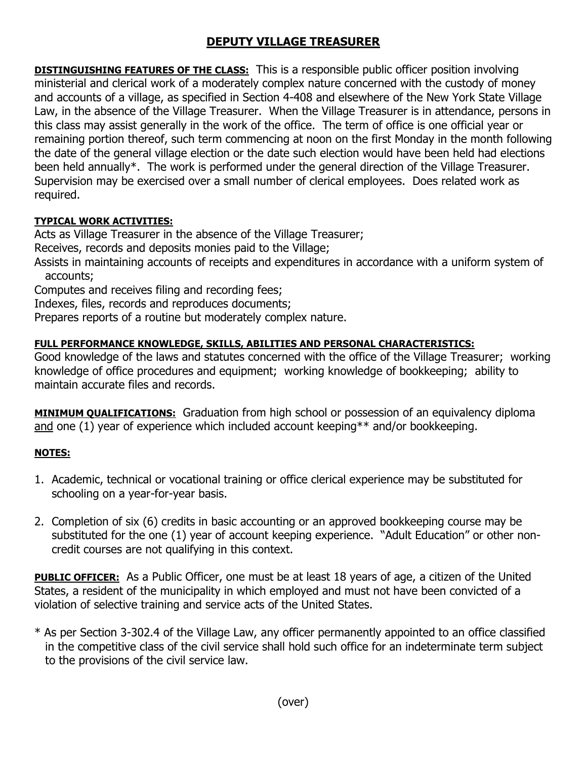## **DEPUTY VILLAGE TREASURER**

**DISTINGUISHING FEATURES OF THE CLASS:** This is a responsible public officer position involving ministerial and clerical work of a moderately complex nature concerned with the custody of money and accounts of a village, as specified in Section 4-408 and elsewhere of the New York State Village Law, in the absence of the Village Treasurer. When the Village Treasurer is in attendance, persons in this class may assist generally in the work of the office. The term of office is one official year or remaining portion thereof, such term commencing at noon on the first Monday in the month following the date of the general village election or the date such election would have been held had elections been held annually\*. The work is performed under the general direction of the Village Treasurer. Supervision may be exercised over a small number of clerical employees. Does related work as required.

## **TYPICAL WORK ACTIVITIES:**

Acts as Village Treasurer in the absence of the Village Treasurer;

Receives, records and deposits monies paid to the Village;

Assists in maintaining accounts of receipts and expenditures in accordance with a uniform system of accounts;

Computes and receives filing and recording fees;

Indexes, files, records and reproduces documents;

Prepares reports of a routine but moderately complex nature.

## **FULL PERFORMANCE KNOWLEDGE, SKILLS, ABILITIES AND PERSONAL CHARACTERISTICS:**

Good knowledge of the laws and statutes concerned with the office of the Village Treasurer; working knowledge of office procedures and equipment; working knowledge of bookkeeping; ability to maintain accurate files and records.

**MINIMUM QUALIFICATIONS:** Graduation from high school or possession of an equivalency diploma and one (1) year of experience which included account keeping\*\* and/or bookkeeping.

## **NOTES:**

- 1. Academic, technical or vocational training or office clerical experience may be substituted for schooling on a year-for-year basis.
- 2. Completion of six (6) credits in basic accounting or an approved bookkeeping course may be substituted for the one (1) year of account keeping experience. "Adult Education" or other noncredit courses are not qualifying in this context.

**PUBLIC OFFICER:** As a Public Officer, one must be at least 18 years of age, a citizen of the United States, a resident of the municipality in which employed and must not have been convicted of a violation of selective training and service acts of the United States.

\* As per Section 3-302.4 of the Village Law, any officer permanently appointed to an office classified in the competitive class of the civil service shall hold such office for an indeterminate term subject to the provisions of the civil service law.